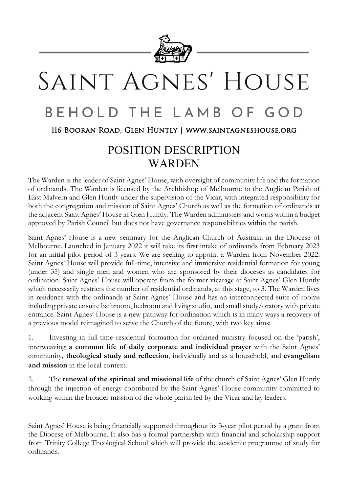

# SAINT AGNES' HOUSE

#### **BEHOLD THE** LAMB  $\bigcirc$  F GOD

116 Booran Road, Glen Huntly | www.saintagneshouse.org

## POSITION DESCRIPTION **WARDEN**

The Warden is the leader of Saint Agnes' House, with oversight of community life and the formation of ordinands. The Warden is licensed by the Archbishop of Melbourne to the Anglican Parish of East Malvern and Glen Huntly under the supervision of the Vicar, with integrated responsibility for both the congregation and mission of Saint Agnes' Church as well as the formation of ordinands at the adjacent Saint Agnes' House in Glen Huntly. The Warden administers and works within a budget approved by Parish Council but does not have governance responsibilities within the parish.

Saint Agnes' House is a new seminary for the Anglican Church of Australia in the Diocese of Melbourne. Launched in January 2022 it will take its first intake of ordinands from February 2023 for an initial pilot period of 3 years. We are seeking to appoint a Warden from November 2022. Saint Agnes' House will provide full-time, intensive and immersive residential formation for young (under 35) and single men and women who are sponsored by their dioceses as candidates for ordination. Saint Agnes' House will operate from the former vicarage at Saint Agnes' Glen Huntly which necessarily restricts the number of residential ordinands, at this stage, to 3. The Warden lives in residence with the ordinands at Saint Agnes' House and has an interconnected suite of rooms including private ensuite bathroom, bedroom and living studio, and small study/oratory with private entrance. Saint Agnes' House is a new pathway for ordination which is in many ways a recovery of a previous model reimagined to serve the Church of the future, with two key aims:

1. Investing in full-time residential formation for ordained ministry focused on the 'parish', interweaving **a common life of daily corporate and individual prayer** with the Saint Agnes' community**, theological study and reflection**, individually and as a household, and **evangelism and mission** in the local context.

2. The **renewal of the spiritual and missional life** of the church of Saint Agnes' Glen Huntly through the injection of energy contributed by the Saint Agnes' House community committed to working within the broader mission of the whole parish led by the Vicar and lay leaders.

Saint Agnes' House is being financially supported throughout its 3-year pilot period by a grant from the Diocese of Melbourne. It also has a formal partnership with financial and scholarship support from Trinity College Theological School which will provide the academic programme of study for ordinands.